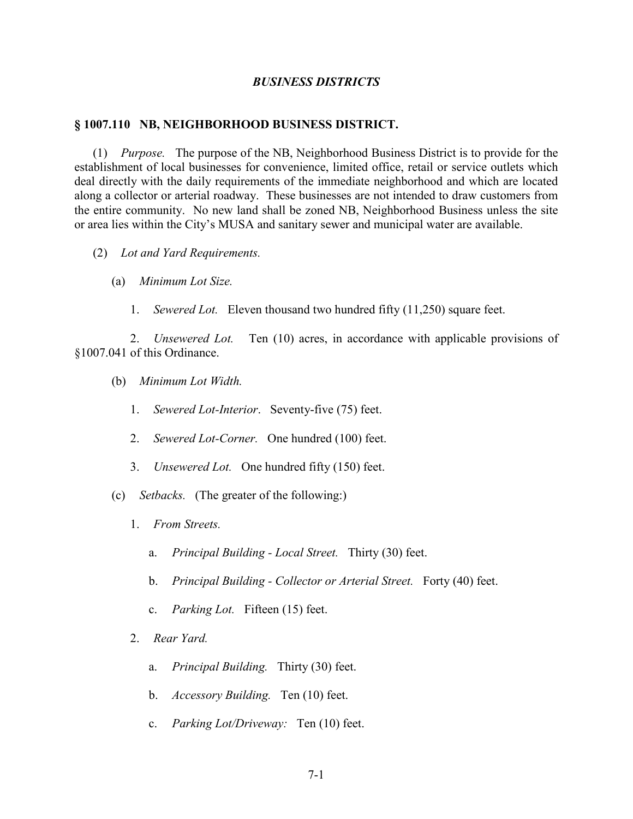### *BUSINESS DISTRICTS*

### **§ 1007.110 NB, NEIGHBORHOOD BUSINESS DISTRICT.**

(1) *Purpose.* The purpose of the NB, Neighborhood Business District is to provide for the establishment of local businesses for convenience, limited office, retail or service outlets which deal directly with the daily requirements of the immediate neighborhood and which are located along a collector or arterial roadway. These businesses are not intended to draw customers from the entire community. No new land shall be zoned NB, Neighborhood Business unless the site or area lies within the City's MUSA and sanitary sewer and municipal water are available.

- (2) *Lot and Yard Requirements.*
	- (a) *Minimum Lot Size.*
		- 1. *Sewered Lot.* Eleven thousand two hundred fifty (11,250) square feet.

2. *Unsewered Lot.* Ten (10) acres, in accordance with applicable provisions of §1007.041 of this Ordinance.

- (b) *Minimum Lot Width.*
	- 1. *Sewered Lot-Interior*. Seventy-five (75) feet.
	- 2. *Sewered Lot-Corner.* One hundred (100) feet.
	- 3. *Unsewered Lot.* One hundred fifty (150) feet.
- (c) *Setbacks.* (The greater of the following:)
	- 1. *From Streets.*
		- a. *Principal Building - Local Street.* Thirty (30) feet.
		- b. *Principal Building - Collector or Arterial Street.* Forty (40) feet.
		- c. *Parking Lot.* Fifteen (15) feet.
	- 2. *Rear Yard.*
		- a. *Principal Building.* Thirty (30) feet.
		- b. *Accessory Building.* Ten (10) feet.
		- c. *Parking Lot/Driveway:* Ten (10) feet.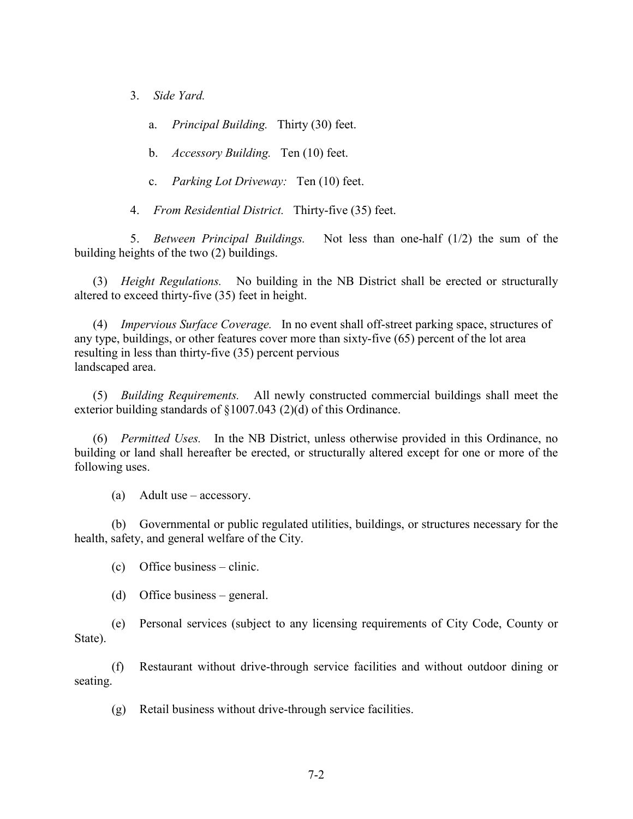3. *Side Yard.*

a. *Principal Building.* Thirty (30) feet.

b. *Accessory Building.* Ten (10) feet.

c. *Parking Lot Driveway:* Ten (10) feet.

4. *From Residential District.* Thirty-five (35) feet.

5. *Between Principal Buildings.* Not less than one-half (1/2) the sum of the building heights of the two (2) buildings.

(3) *Height Regulations.* No building in the NB District shall be erected or structurally altered to exceed thirty-five (35) feet in height.

(4) *Impervious Surface Coverage.* In no event shall off-street parking space, structures of any type, buildings, or other features cover more than sixty-five (65) percent of the lot area resulting in less than thirty-five (35) percent pervious landscaped area.

(5) *Building Requirements.* All newly constructed commercial buildings shall meet the exterior building standards of §1007.043 (2)(d) of this Ordinance.

(6) *Permitted Uses.* In the NB District, unless otherwise provided in this Ordinance, no building or land shall hereafter be erected, or structurally altered except for one or more of the following uses.

(a) Adult use – accessory.

(b) Governmental or public regulated utilities, buildings, or structures necessary for the health, safety, and general welfare of the City.

(c) Office business – clinic.

(d) Office business – general.

(e) Personal services (subject to any licensing requirements of City Code, County or State).

(f) Restaurant without drive-through service facilities and without outdoor dining or seating.

(g) Retail business without drive-through service facilities.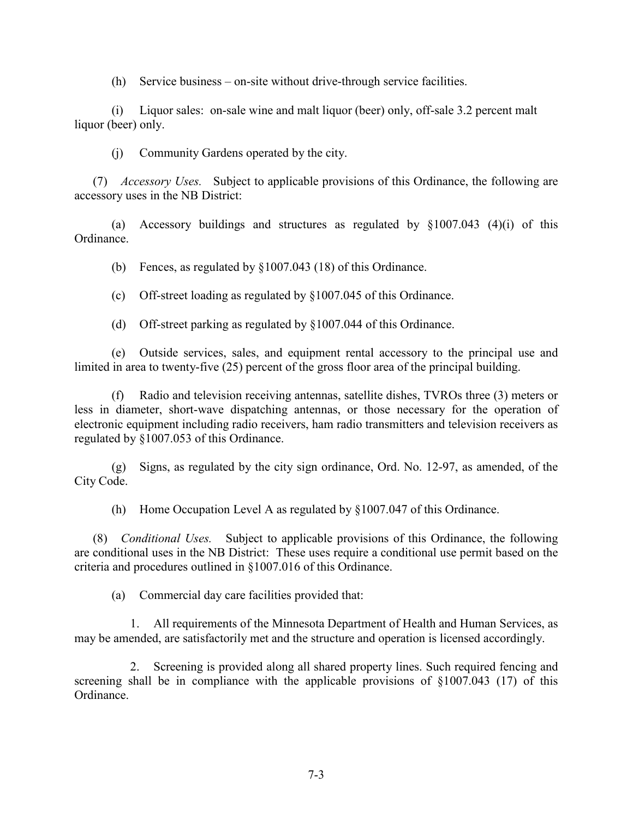(h) Service business – on-site without drive-through service facilities.

(i) Liquor sales: on-sale wine and malt liquor (beer) only, off-sale 3.2 percent malt liquor (beer) only.

(j) Community Gardens operated by the city.

(7) *Accessory Uses.* Subject to applicable provisions of this Ordinance, the following are accessory uses in the NB District:

(a) Accessory buildings and structures as regulated by §1007.043 (4)(i) of this Ordinance.

(b) Fences, as regulated by §1007.043 (18) of this Ordinance.

(c) Off-street loading as regulated by §1007.045 of this Ordinance.

(d) Off-street parking as regulated by §1007.044 of this Ordinance.

(e) Outside services, sales, and equipment rental accessory to the principal use and limited in area to twenty-five (25) percent of the gross floor area of the principal building.

(f) Radio and television receiving antennas, satellite dishes, TVROs three (3) meters or less in diameter, short-wave dispatching antennas, or those necessary for the operation of electronic equipment including radio receivers, ham radio transmitters and television receivers as regulated by §1007.053 of this Ordinance.

(g) Signs, as regulated by the city sign ordinance, Ord. No. 12-97, as amended, of the City Code.

(h) Home Occupation Level A as regulated by §1007.047 of this Ordinance.

(8) *Conditional Uses.* Subject to applicable provisions of this Ordinance, the following are conditional uses in the NB District: These uses require a conditional use permit based on the criteria and procedures outlined in §1007.016 of this Ordinance.

(a) Commercial day care facilities provided that:

1. All requirements of the Minnesota Department of Health and Human Services, as may be amended, are satisfactorily met and the structure and operation is licensed accordingly.

2. Screening is provided along all shared property lines. Such required fencing and screening shall be in compliance with the applicable provisions of §1007.043 (17) of this Ordinance.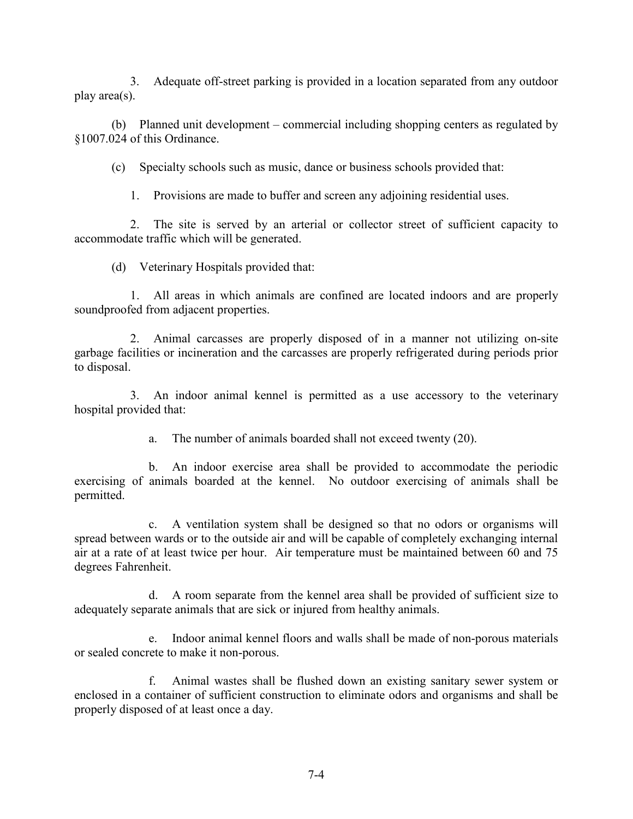3. Adequate off-street parking is provided in a location separated from any outdoor play area(s).

(b) Planned unit development – commercial including shopping centers as regulated by §1007.024 of this Ordinance.

(c) Specialty schools such as music, dance or business schools provided that:

1. Provisions are made to buffer and screen any adjoining residential uses.

2. The site is served by an arterial or collector street of sufficient capacity to accommodate traffic which will be generated.

(d) Veterinary Hospitals provided that:

1. All areas in which animals are confined are located indoors and are properly soundproofed from adjacent properties.

2. Animal carcasses are properly disposed of in a manner not utilizing on-site garbage facilities or incineration and the carcasses are properly refrigerated during periods prior to disposal.

3. An indoor animal kennel is permitted as a use accessory to the veterinary hospital provided that:

a. The number of animals boarded shall not exceed twenty (20).

b. An indoor exercise area shall be provided to accommodate the periodic exercising of animals boarded at the kennel. No outdoor exercising of animals shall be permitted.

c. A ventilation system shall be designed so that no odors or organisms will spread between wards or to the outside air and will be capable of completely exchanging internal air at a rate of at least twice per hour. Air temperature must be maintained between 60 and 75 degrees Fahrenheit.

d. A room separate from the kennel area shall be provided of sufficient size to adequately separate animals that are sick or injured from healthy animals.

e. Indoor animal kennel floors and walls shall be made of non-porous materials or sealed concrete to make it non-porous.

f. Animal wastes shall be flushed down an existing sanitary sewer system or enclosed in a container of sufficient construction to eliminate odors and organisms and shall be properly disposed of at least once a day.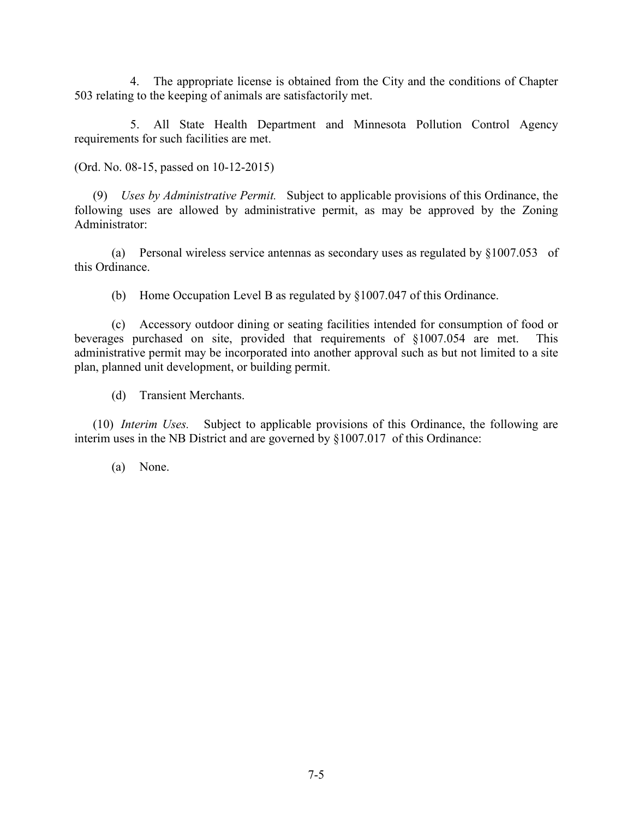4. The appropriate license is obtained from the City and the conditions of Chapter 503 relating to the keeping of animals are satisfactorily met.

5. All State Health Department and Minnesota Pollution Control Agency requirements for such facilities are met.

(Ord. No. 08-15, passed on 10-12-2015)

(9) *Uses by Administrative Permit.* Subject to applicable provisions of this Ordinance, the following uses are allowed by administrative permit, as may be approved by the Zoning Administrator:

(a) Personal wireless service antennas as secondary uses as regulated by §1007.053 of this Ordinance.

(b) Home Occupation Level B as regulated by §1007.047 of this Ordinance.

(c) Accessory outdoor dining or seating facilities intended for consumption of food or beverages purchased on site, provided that requirements of §1007.054 are met. This administrative permit may be incorporated into another approval such as but not limited to a site plan, planned unit development, or building permit.

(d) Transient Merchants.

(10) *Interim Uses.* Subject to applicable provisions of this Ordinance, the following are interim uses in the NB District and are governed by §1007.017 of this Ordinance:

(a) None.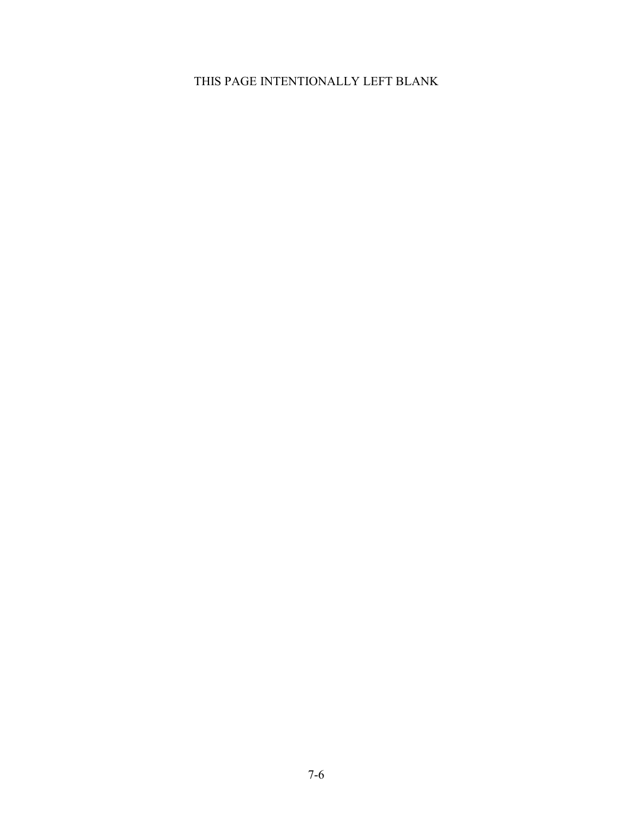# THIS PAGE INTENTIONALLY LEFT BLANK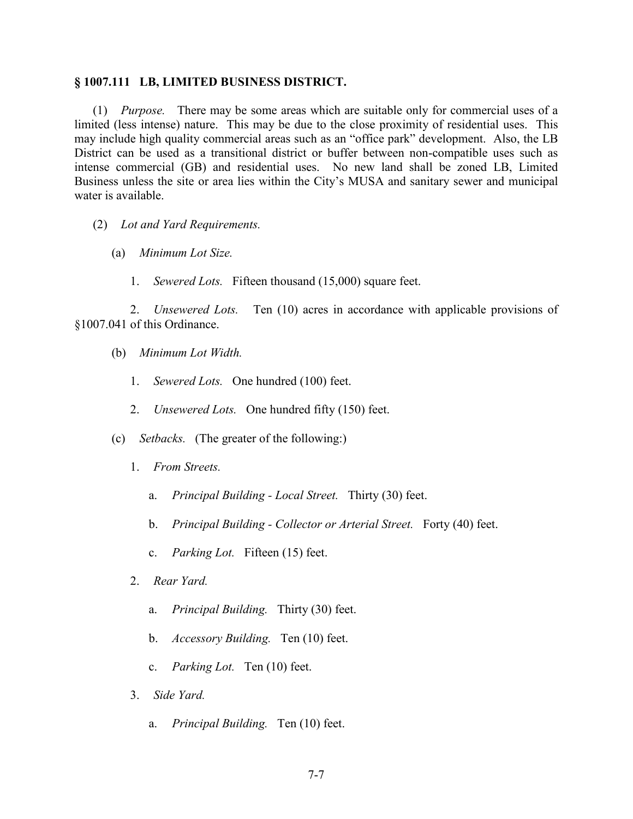### **§ 1007.111 LB, LIMITED BUSINESS DISTRICT.**

(1) *Purpose.* There may be some areas which are suitable only for commercial uses of a limited (less intense) nature. This may be due to the close proximity of residential uses. This may include high quality commercial areas such as an "office park" development. Also, the LB District can be used as a transitional district or buffer between non-compatible uses such as intense commercial (GB) and residential uses. No new land shall be zoned LB, Limited Business unless the site or area lies within the City's MUSA and sanitary sewer and municipal water is available.

- (2) *Lot and Yard Requirements.*
	- (a) *Minimum Lot Size.* 
		- 1. *Sewered Lots.* Fifteen thousand (15,000) square feet.

2. *Unsewered Lots.* Ten (10) acres in accordance with applicable provisions of §1007.041 of this Ordinance.

- (b) *Minimum Lot Width.* 
	- 1. *Sewered Lots.* One hundred (100) feet.
	- 2. *Unsewered Lots.* One hundred fifty (150) feet.
- (c) *Setbacks.* (The greater of the following:)
	- 1. *From Streets.*
		- a. *Principal Building - Local Street.* Thirty (30) feet.
		- b. *Principal Building - Collector or Arterial Street.* Forty (40) feet.
		- c. *Parking Lot.* Fifteen (15) feet.
	- 2. *Rear Yard.*
		- a. *Principal Building.* Thirty (30) feet.
		- b. *Accessory Building.* Ten (10) feet.
		- c. *Parking Lot.* Ten (10) feet.
	- 3. *Side Yard.*
		- a. *Principal Building.* Ten (10) feet.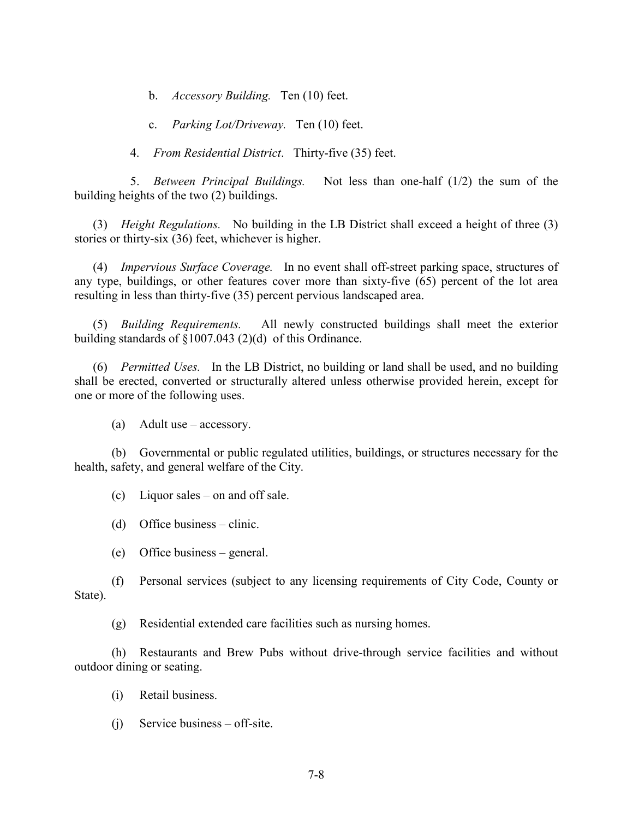b. *Accessory Building.* Ten (10) feet.

c. *Parking Lot/Driveway.* Ten (10) feet.

4. *From Residential District*. Thirty-five (35) feet.

5. *Between Principal Buildings.* Not less than one-half (1/2) the sum of the building heights of the two (2) buildings.

(3) *Height Regulations.* No building in the LB District shall exceed a height of three (3) stories or thirty-six (36) feet, whichever is higher.

(4) *Impervious Surface Coverage.* In no event shall off-street parking space, structures of any type, buildings, or other features cover more than sixty-five (65) percent of the lot area resulting in less than thirty-five (35) percent pervious landscaped area.

(5) *Building Requirements.* All newly constructed buildings shall meet the exterior building standards of §1007.043 (2)(d) of this Ordinance.

(6) *Permitted Uses.* In the LB District, no building or land shall be used, and no building shall be erected, converted or structurally altered unless otherwise provided herein, except for one or more of the following uses.

(a) Adult use – accessory.

(b) Governmental or public regulated utilities, buildings, or structures necessary for the health, safety, and general welfare of the City.

(c) Liquor sales – on and off sale.

(d) Office business – clinic.

(e) Office business – general.

(f) Personal services (subject to any licensing requirements of City Code, County or State).

(g) Residential extended care facilities such as nursing homes.

(h) Restaurants and Brew Pubs without drive-through service facilities and without outdoor dining or seating.

(i) Retail business.

(j) Service business – off-site.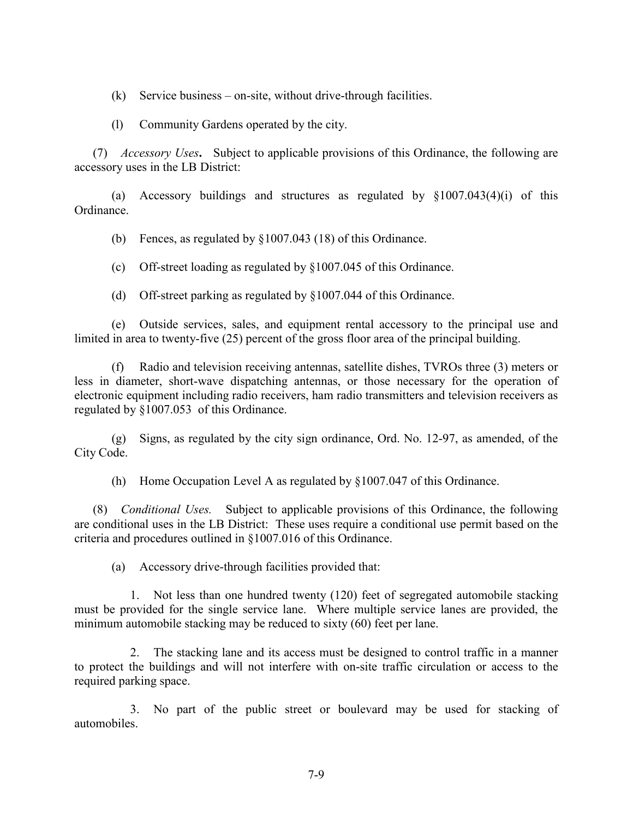(k) Service business – on-site, without drive-through facilities.

(l) Community Gardens operated by the city.

(7) *Accessory Uses***.** Subject to applicable provisions of this Ordinance, the following are accessory uses in the LB District:

(a) Accessory buildings and structures as regulated by §1007.043(4)(i) of this Ordinance.

(b) Fences, as regulated by §1007.043 (18) of this Ordinance.

(c) Off-street loading as regulated by §1007.045 of this Ordinance.

(d) Off-street parking as regulated by §1007.044 of this Ordinance.

(e) Outside services, sales, and equipment rental accessory to the principal use and limited in area to twenty-five (25) percent of the gross floor area of the principal building.

(f) Radio and television receiving antennas, satellite dishes, TVROs three (3) meters or less in diameter, short-wave dispatching antennas, or those necessary for the operation of electronic equipment including radio receivers, ham radio transmitters and television receivers as regulated by §1007.053 of this Ordinance.

(g) Signs, as regulated by the city sign ordinance, Ord. No. 12-97, as amended, of the City Code.

(h) Home Occupation Level A as regulated by §1007.047 of this Ordinance.

(8) *Conditional Uses.* Subject to applicable provisions of this Ordinance, the following are conditional uses in the LB District: These uses require a conditional use permit based on the criteria and procedures outlined in §1007.016 of this Ordinance.

(a) Accessory drive-through facilities provided that:

1. Not less than one hundred twenty (120) feet of segregated automobile stacking must be provided for the single service lane. Where multiple service lanes are provided, the minimum automobile stacking may be reduced to sixty (60) feet per lane.

2. The stacking lane and its access must be designed to control traffic in a manner to protect the buildings and will not interfere with on-site traffic circulation or access to the required parking space.

3. No part of the public street or boulevard may be used for stacking of automobiles.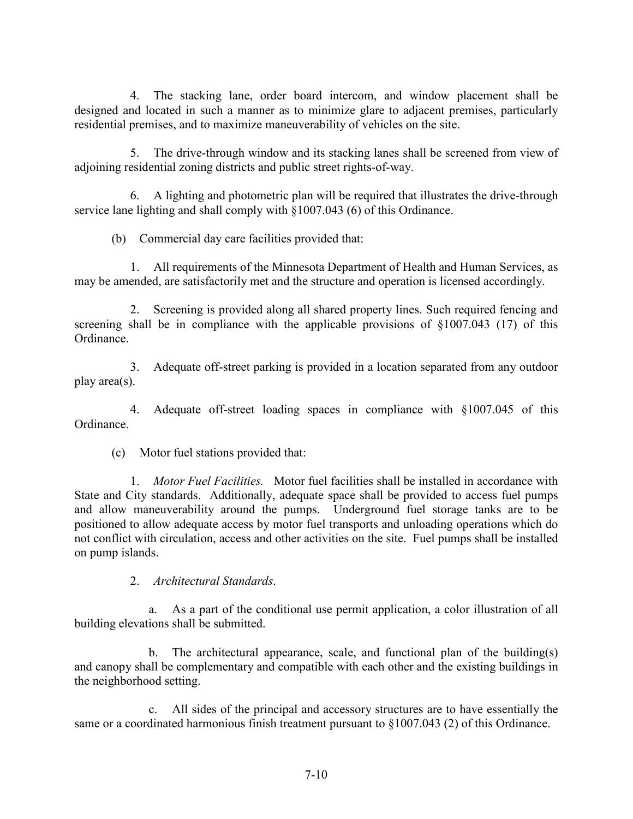4. The stacking lane, order board intercom, and window placement shall be designed and located in such a manner as to minimize glare to adjacent premises, particularly residential premises, and to maximize maneuverability of vehicles on the site.

5. The drive-through window and its stacking lanes shall be screened from view of adjoining residential zoning districts and public street rights-of-way.

6. A lighting and photometric plan will be required that illustrates the drive-through service lane lighting and shall comply with §1007.043 (6) of this Ordinance.

(b) Commercial day care facilities provided that:

1. All requirements of the Minnesota Department of Health and Human Services, as may be amended, are satisfactorily met and the structure and operation is licensed accordingly.

2. Screening is provided along all shared property lines. Such required fencing and screening shall be in compliance with the applicable provisions of §1007.043 (17) of this Ordinance.

3. Adequate off-street parking is provided in a location separated from any outdoor play area(s).

4. Adequate off-street loading spaces in compliance with §1007.045 of this Ordinance.

(c) Motor fuel stations provided that:

1. *Motor Fuel Facilities.* Motor fuel facilities shall be installed in accordance with State and City standards. Additionally, adequate space shall be provided to access fuel pumps and allow maneuverability around the pumps. Underground fuel storage tanks are to be positioned to allow adequate access by motor fuel transports and unloading operations which do not conflict with circulation, access and other activities on the site. Fuel pumps shall be installed on pump islands.

2. *Architectural Standards*.

a. As a part of the conditional use permit application, a color illustration of all building elevations shall be submitted.

b. The architectural appearance, scale, and functional plan of the building(s) and canopy shall be complementary and compatible with each other and the existing buildings in the neighborhood setting.

c. All sides of the principal and accessory structures are to have essentially the same or a coordinated harmonious finish treatment pursuant to  $$1007.043$  (2) of this Ordinance.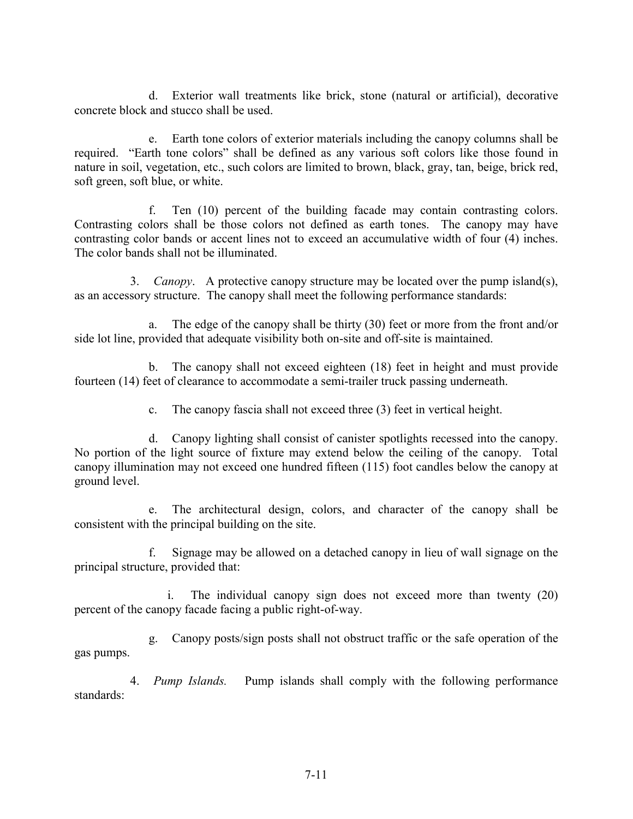d. Exterior wall treatments like brick, stone (natural or artificial), decorative concrete block and stucco shall be used.

e. Earth tone colors of exterior materials including the canopy columns shall be required. "Earth tone colors" shall be defined as any various soft colors like those found in nature in soil, vegetation, etc., such colors are limited to brown, black, gray, tan, beige, brick red, soft green, soft blue, or white.

f. Ten (10) percent of the building facade may contain contrasting colors. Contrasting colors shall be those colors not defined as earth tones. The canopy may have contrasting color bands or accent lines not to exceed an accumulative width of four (4) inches. The color bands shall not be illuminated.

3. *Canopy*. A protective canopy structure may be located over the pump island(s), as an accessory structure. The canopy shall meet the following performance standards:

a. The edge of the canopy shall be thirty (30) feet or more from the front and/or side lot line, provided that adequate visibility both on-site and off-site is maintained.

b. The canopy shall not exceed eighteen (18) feet in height and must provide fourteen (14) feet of clearance to accommodate a semi-trailer truck passing underneath.

c. The canopy fascia shall not exceed three (3) feet in vertical height.

d. Canopy lighting shall consist of canister spotlights recessed into the canopy. No portion of the light source of fixture may extend below the ceiling of the canopy. Total canopy illumination may not exceed one hundred fifteen (115) foot candles below the canopy at ground level.

e. The architectural design, colors, and character of the canopy shall be consistent with the principal building on the site.

f. Signage may be allowed on a detached canopy in lieu of wall signage on the principal structure, provided that:

i. The individual canopy sign does not exceed more than twenty (20) percent of the canopy facade facing a public right-of-way.

g. Canopy posts/sign posts shall not obstruct traffic or the safe operation of the gas pumps.

4. *Pump Islands.* Pump islands shall comply with the following performance standards: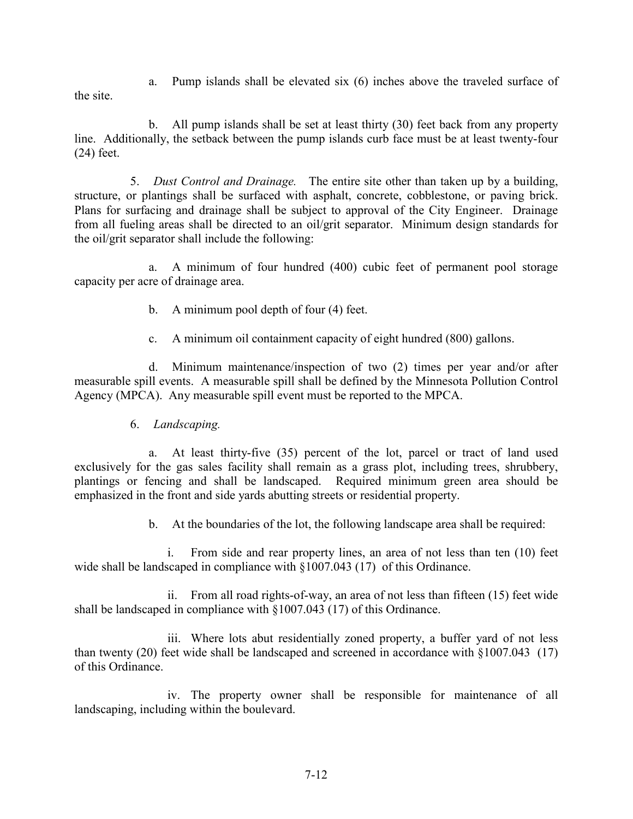a. Pump islands shall be elevated six (6) inches above the traveled surface of the site.

b. All pump islands shall be set at least thirty (30) feet back from any property line. Additionally, the setback between the pump islands curb face must be at least twenty-four (24) feet.

5. *Dust Control and Drainage.* The entire site other than taken up by a building, structure, or plantings shall be surfaced with asphalt, concrete, cobblestone, or paving brick. Plans for surfacing and drainage shall be subject to approval of the City Engineer. Drainage from all fueling areas shall be directed to an oil/grit separator. Minimum design standards for the oil/grit separator shall include the following:

a. A minimum of four hundred (400) cubic feet of permanent pool storage capacity per acre of drainage area.

- b. A minimum pool depth of four (4) feet.
- c. A minimum oil containment capacity of eight hundred (800) gallons.

d. Minimum maintenance/inspection of two (2) times per year and/or after measurable spill events. A measurable spill shall be defined by the Minnesota Pollution Control Agency (MPCA). Any measurable spill event must be reported to the MPCA.

6. *Landscaping.*

a. At least thirty-five (35) percent of the lot, parcel or tract of land used exclusively for the gas sales facility shall remain as a grass plot, including trees, shrubbery, plantings or fencing and shall be landscaped. Required minimum green area should be emphasized in the front and side yards abutting streets or residential property.

b. At the boundaries of the lot, the following landscape area shall be required:

i. From side and rear property lines, an area of not less than ten (10) feet wide shall be landscaped in compliance with §1007.043 (17) of this Ordinance.

ii. From all road rights-of-way, an area of not less than fifteen (15) feet wide shall be landscaped in compliance with §1007.043 (17) of this Ordinance.

iii. Where lots abut residentially zoned property, a buffer yard of not less than twenty (20) feet wide shall be landscaped and screened in accordance with §1007.043 (17) of this Ordinance.

iv. The property owner shall be responsible for maintenance of all landscaping, including within the boulevard.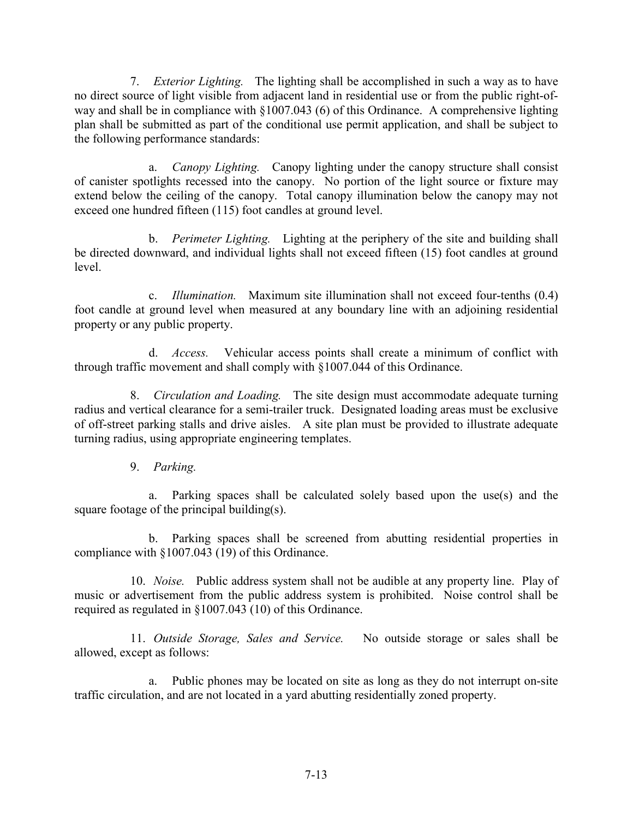7. *Exterior Lighting.* The lighting shall be accomplished in such a way as to have no direct source of light visible from adjacent land in residential use or from the public right-ofway and shall be in compliance with §1007.043 (6) of this Ordinance. A comprehensive lighting plan shall be submitted as part of the conditional use permit application, and shall be subject to the following performance standards:

a. *Canopy Lighting.* Canopy lighting under the canopy structure shall consist of canister spotlights recessed into the canopy. No portion of the light source or fixture may extend below the ceiling of the canopy. Total canopy illumination below the canopy may not exceed one hundred fifteen (115) foot candles at ground level.

b. *Perimeter Lighting.* Lighting at the periphery of the site and building shall be directed downward, and individual lights shall not exceed fifteen (15) foot candles at ground level.

c. *Illumination.* Maximum site illumination shall not exceed four-tenths (0.4) foot candle at ground level when measured at any boundary line with an adjoining residential property or any public property.

d. *Access.* Vehicular access points shall create a minimum of conflict with through traffic movement and shall comply with §1007.044 of this Ordinance.

8. *Circulation and Loading.* The site design must accommodate adequate turning radius and vertical clearance for a semi-trailer truck. Designated loading areas must be exclusive of off-street parking stalls and drive aisles. A site plan must be provided to illustrate adequate turning radius, using appropriate engineering templates.

9. *Parking.*

a. Parking spaces shall be calculated solely based upon the use(s) and the square footage of the principal building(s).

b. Parking spaces shall be screened from abutting residential properties in compliance with §1007.043 (19) of this Ordinance.

10. *Noise.* Public address system shall not be audible at any property line. Play of music or advertisement from the public address system is prohibited. Noise control shall be required as regulated in §1007.043 (10) of this Ordinance.

11. *Outside Storage, Sales and Service.* No outside storage or sales shall be allowed, except as follows:

a. Public phones may be located on site as long as they do not interrupt on-site traffic circulation, and are not located in a yard abutting residentially zoned property.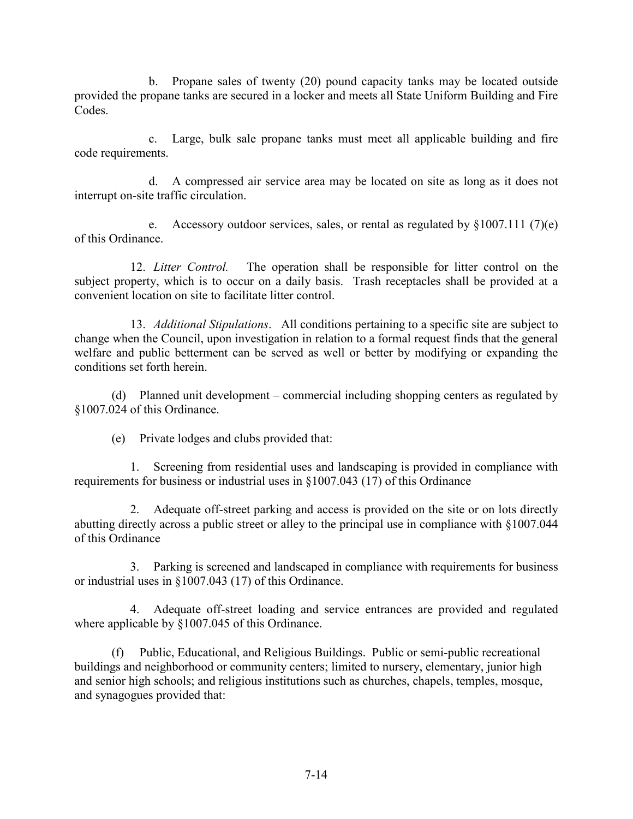b. Propane sales of twenty (20) pound capacity tanks may be located outside provided the propane tanks are secured in a locker and meets all State Uniform Building and Fire Codes.

c. Large, bulk sale propane tanks must meet all applicable building and fire code requirements.

d. A compressed air service area may be located on site as long as it does not interrupt on-site traffic circulation.

e. Accessory outdoor services, sales, or rental as regulated by  $\{1007.111\}$  (7)(e) of this Ordinance.

12. *Litter Control.* The operation shall be responsible for litter control on the subject property, which is to occur on a daily basis. Trash receptacles shall be provided at a convenient location on site to facilitate litter control.

13. *Additional Stipulations*. All conditions pertaining to a specific site are subject to change when the Council, upon investigation in relation to a formal request finds that the general welfare and public betterment can be served as well or better by modifying or expanding the conditions set forth herein.

(d) Planned unit development – commercial including shopping centers as regulated by §1007.024 of this Ordinance.

(e) Private lodges and clubs provided that:

1. Screening from residential uses and landscaping is provided in compliance with requirements for business or industrial uses in §1007.043 (17) of this Ordinance

2. Adequate off-street parking and access is provided on the site or on lots directly abutting directly across a public street or alley to the principal use in compliance with §1007.044 of this Ordinance

3. Parking is screened and landscaped in compliance with requirements for business or industrial uses in §1007.043 (17) of this Ordinance.

4. Adequate off-street loading and service entrances are provided and regulated where applicable by §1007.045 of this Ordinance.

(f) Public, Educational, and Religious Buildings. Public or semi-public recreational buildings and neighborhood or community centers; limited to nursery, elementary, junior high and senior high schools; and religious institutions such as churches, chapels, temples, mosque, and synagogues provided that: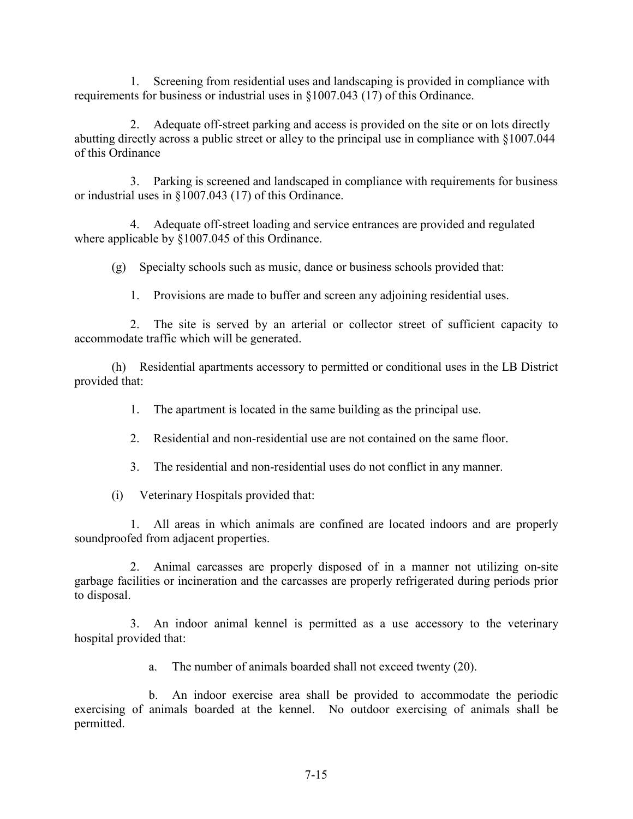1. Screening from residential uses and landscaping is provided in compliance with requirements for business or industrial uses in §1007.043 (17) of this Ordinance.

2. Adequate off-street parking and access is provided on the site or on lots directly abutting directly across a public street or alley to the principal use in compliance with §1007.044 of this Ordinance

3. Parking is screened and landscaped in compliance with requirements for business or industrial uses in §1007.043 (17) of this Ordinance.

4. Adequate off-street loading and service entrances are provided and regulated where applicable by §1007.045 of this Ordinance.

(g) Specialty schools such as music, dance or business schools provided that:

1. Provisions are made to buffer and screen any adjoining residential uses.

2. The site is served by an arterial or collector street of sufficient capacity to accommodate traffic which will be generated.

(h) Residential apartments accessory to permitted or conditional uses in the LB District provided that:

1. The apartment is located in the same building as the principal use.

2. Residential and non-residential use are not contained on the same floor.

3. The residential and non-residential uses do not conflict in any manner.

(i) Veterinary Hospitals provided that:

1. All areas in which animals are confined are located indoors and are properly soundproofed from adjacent properties.

2. Animal carcasses are properly disposed of in a manner not utilizing on-site garbage facilities or incineration and the carcasses are properly refrigerated during periods prior to disposal.

3. An indoor animal kennel is permitted as a use accessory to the veterinary hospital provided that:

a. The number of animals boarded shall not exceed twenty (20).

b. An indoor exercise area shall be provided to accommodate the periodic exercising of animals boarded at the kennel. No outdoor exercising of animals shall be permitted.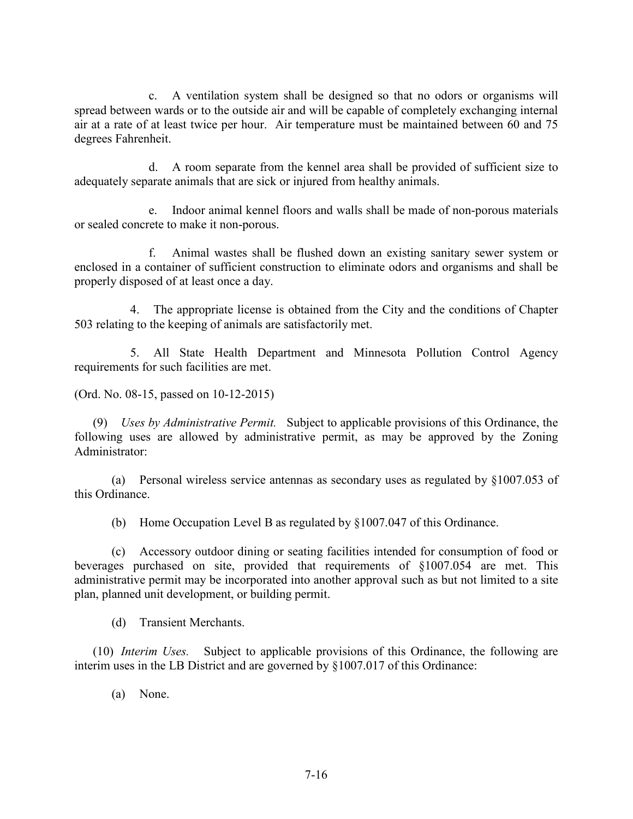c. A ventilation system shall be designed so that no odors or organisms will spread between wards or to the outside air and will be capable of completely exchanging internal air at a rate of at least twice per hour. Air temperature must be maintained between 60 and 75 degrees Fahrenheit.

d. A room separate from the kennel area shall be provided of sufficient size to adequately separate animals that are sick or injured from healthy animals.

e. Indoor animal kennel floors and walls shall be made of non-porous materials or sealed concrete to make it non-porous.

f. Animal wastes shall be flushed down an existing sanitary sewer system or enclosed in a container of sufficient construction to eliminate odors and organisms and shall be properly disposed of at least once a day.

4. The appropriate license is obtained from the City and the conditions of Chapter 503 relating to the keeping of animals are satisfactorily met.

5. All State Health Department and Minnesota Pollution Control Agency requirements for such facilities are met.

(Ord. No. 08-15, passed on 10-12-2015)

(9) *Uses by Administrative Permit.* Subject to applicable provisions of this Ordinance, the following uses are allowed by administrative permit, as may be approved by the Zoning Administrator:

(a) Personal wireless service antennas as secondary uses as regulated by §1007.053 of this Ordinance.

(b) Home Occupation Level B as regulated by §1007.047 of this Ordinance.

(c) Accessory outdoor dining or seating facilities intended for consumption of food or beverages purchased on site, provided that requirements of §1007.054 are met. This administrative permit may be incorporated into another approval such as but not limited to a site plan, planned unit development, or building permit.

(d) Transient Merchants.

(10) *Interim Uses.* Subject to applicable provisions of this Ordinance, the following are interim uses in the LB District and are governed by §1007.017 of this Ordinance:

(a) None.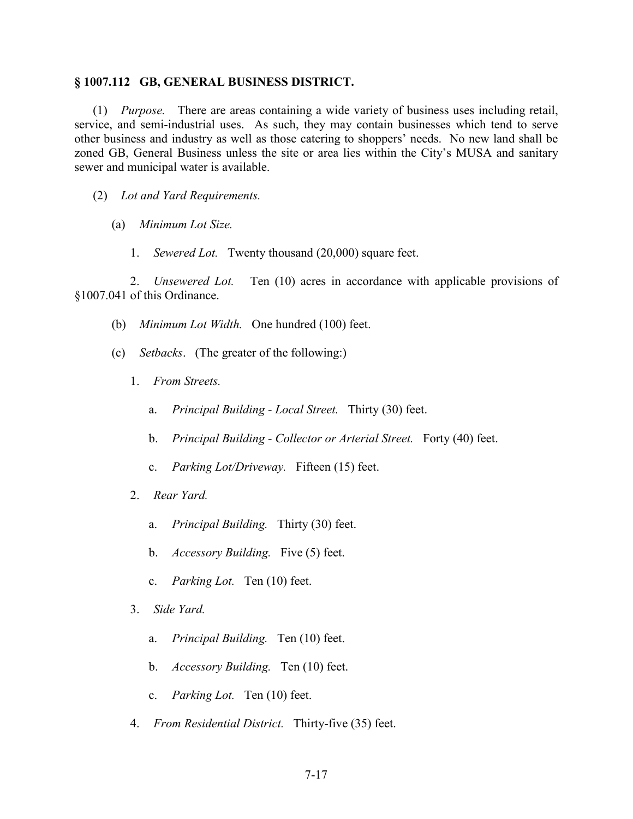#### **§ 1007.112 GB, GENERAL BUSINESS DISTRICT.**

(1) *Purpose.* There are areas containing a wide variety of business uses including retail, service, and semi-industrial uses. As such, they may contain businesses which tend to serve other business and industry as well as those catering to shoppers' needs. No new land shall be zoned GB, General Business unless the site or area lies within the City's MUSA and sanitary sewer and municipal water is available.

- (2) *Lot and Yard Requirements.*
	- (a) *Minimum Lot Size.* 
		- 1. *Sewered Lot.* Twenty thousand (20,000) square feet.

2. *Unsewered Lot.* Ten (10) acres in accordance with applicable provisions of §1007.041 of this Ordinance.

- (b) *Minimum Lot Width.* One hundred (100) feet.
- (c) *Setbacks*. (The greater of the following:)
	- 1. *From Streets.*
		- a. *Principal Building - Local Street.* Thirty (30) feet.
		- b. *Principal Building - Collector or Arterial Street.* Forty (40) feet.
		- c. *Parking Lot/Driveway.* Fifteen (15) feet.
	- 2. *Rear Yard.*
		- a. *Principal Building.* Thirty (30) feet.
		- b. *Accessory Building.* Five (5) feet.
		- c. *Parking Lot.* Ten (10) feet.
	- 3. *Side Yard.*
		- a. *Principal Building.* Ten (10) feet.
		- b. *Accessory Building.* Ten (10) feet.
		- c. *Parking Lot.* Ten (10) feet.
	- 4. *From Residential District.* Thirty-five (35) feet.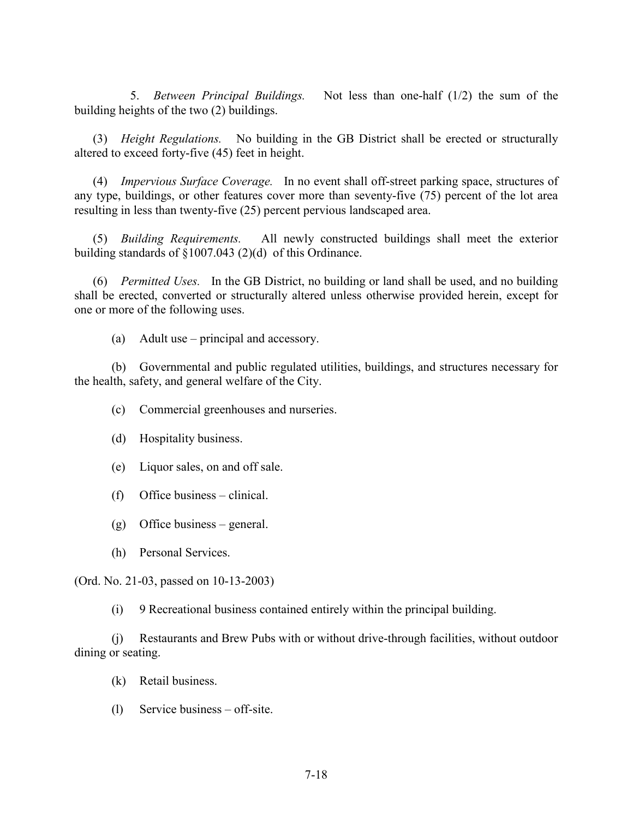5. *Between Principal Buildings.* Not less than one-half (1/2) the sum of the building heights of the two (2) buildings.

(3) *Height Regulations.* No building in the GB District shall be erected or structurally altered to exceed forty-five (45) feet in height.

(4) *Impervious Surface Coverage.* In no event shall off-street parking space, structures of any type, buildings, or other features cover more than seventy-five (75) percent of the lot area resulting in less than twenty-five (25) percent pervious landscaped area.

(5) *Building Requirements.* All newly constructed buildings shall meet the exterior building standards of §1007.043 (2)(d) of this Ordinance.

(6) *Permitted Uses.* In the GB District, no building or land shall be used, and no building shall be erected, converted or structurally altered unless otherwise provided herein, except for one or more of the following uses.

(a) Adult use – principal and accessory.

(b) Governmental and public regulated utilities, buildings, and structures necessary for the health, safety, and general welfare of the City.

(c) Commercial greenhouses and nurseries.

- (d) Hospitality business.
- (e) Liquor sales, on and off sale.
- (f) Office business clinical.
- (g) Office business general.
- (h) Personal Services.

(Ord. No. 21-03, passed on 10-13-2003)

(i) 9 Recreational business contained entirely within the principal building.

(j) Restaurants and Brew Pubs with or without drive-through facilities, without outdoor dining or seating.

- (k) Retail business.
- (l) Service business off-site.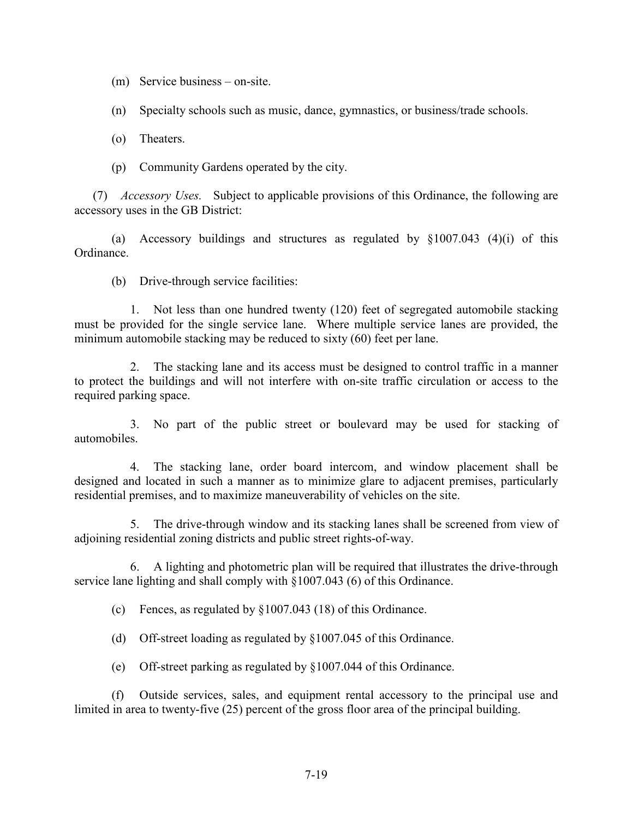(m) Service business – on-site.

(n) Specialty schools such as music, dance, gymnastics, or business/trade schools.

(o) Theaters.

(p) Community Gardens operated by the city.

(7) *Accessory Uses.* Subject to applicable provisions of this Ordinance, the following are accessory uses in the GB District:

(a) Accessory buildings and structures as regulated by §1007.043 (4)(i) of this Ordinance.

(b) Drive-through service facilities:

1. Not less than one hundred twenty (120) feet of segregated automobile stacking must be provided for the single service lane. Where multiple service lanes are provided, the minimum automobile stacking may be reduced to sixty (60) feet per lane.

2. The stacking lane and its access must be designed to control traffic in a manner to protect the buildings and will not interfere with on-site traffic circulation or access to the required parking space.

3. No part of the public street or boulevard may be used for stacking of automobiles.

4. The stacking lane, order board intercom, and window placement shall be designed and located in such a manner as to minimize glare to adjacent premises, particularly residential premises, and to maximize maneuverability of vehicles on the site.

5. The drive-through window and its stacking lanes shall be screened from view of adjoining residential zoning districts and public street rights-of-way.

6. A lighting and photometric plan will be required that illustrates the drive-through service lane lighting and shall comply with §1007.043 (6) of this Ordinance.

(c) Fences, as regulated by §1007.043 (18) of this Ordinance.

(d) Off-street loading as regulated by §1007.045 of this Ordinance.

(e) Off-street parking as regulated by §1007.044 of this Ordinance.

(f) Outside services, sales, and equipment rental accessory to the principal use and limited in area to twenty-five (25) percent of the gross floor area of the principal building.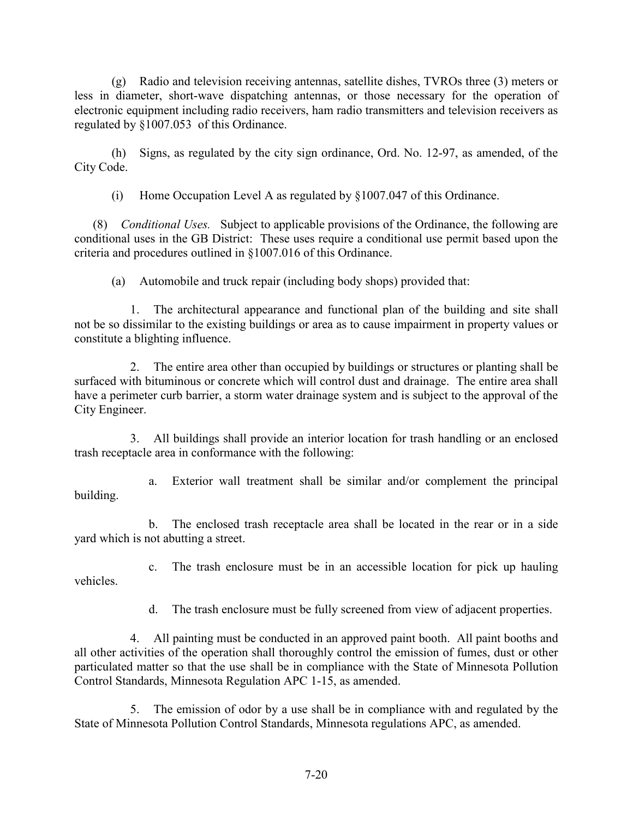(g) Radio and television receiving antennas, satellite dishes, TVROs three (3) meters or less in diameter, short-wave dispatching antennas, or those necessary for the operation of electronic equipment including radio receivers, ham radio transmitters and television receivers as regulated by §1007.053 of this Ordinance.

(h) Signs, as regulated by the city sign ordinance, Ord. No. 12-97, as amended, of the City Code.

(i) Home Occupation Level A as regulated by §1007.047 of this Ordinance.

(8) *Conditional Uses.* Subject to applicable provisions of the Ordinance, the following are conditional uses in the GB District: These uses require a conditional use permit based upon the criteria and procedures outlined in §1007.016 of this Ordinance.

(a) Automobile and truck repair (including body shops) provided that:

1. The architectural appearance and functional plan of the building and site shall not be so dissimilar to the existing buildings or area as to cause impairment in property values or constitute a blighting influence.

2. The entire area other than occupied by buildings or structures or planting shall be surfaced with bituminous or concrete which will control dust and drainage. The entire area shall have a perimeter curb barrier, a storm water drainage system and is subject to the approval of the City Engineer.

3. All buildings shall provide an interior location for trash handling or an enclosed trash receptacle area in conformance with the following:

a. Exterior wall treatment shall be similar and/or complement the principal building.

b. The enclosed trash receptacle area shall be located in the rear or in a side yard which is not abutting a street.

c. The trash enclosure must be in an accessible location for pick up hauling vehicles.

d. The trash enclosure must be fully screened from view of adjacent properties.

4. All painting must be conducted in an approved paint booth. All paint booths and all other activities of the operation shall thoroughly control the emission of fumes, dust or other particulated matter so that the use shall be in compliance with the State of Minnesota Pollution Control Standards, Minnesota Regulation APC 1-15, as amended.

5. The emission of odor by a use shall be in compliance with and regulated by the State of Minnesota Pollution Control Standards, Minnesota regulations APC, as amended.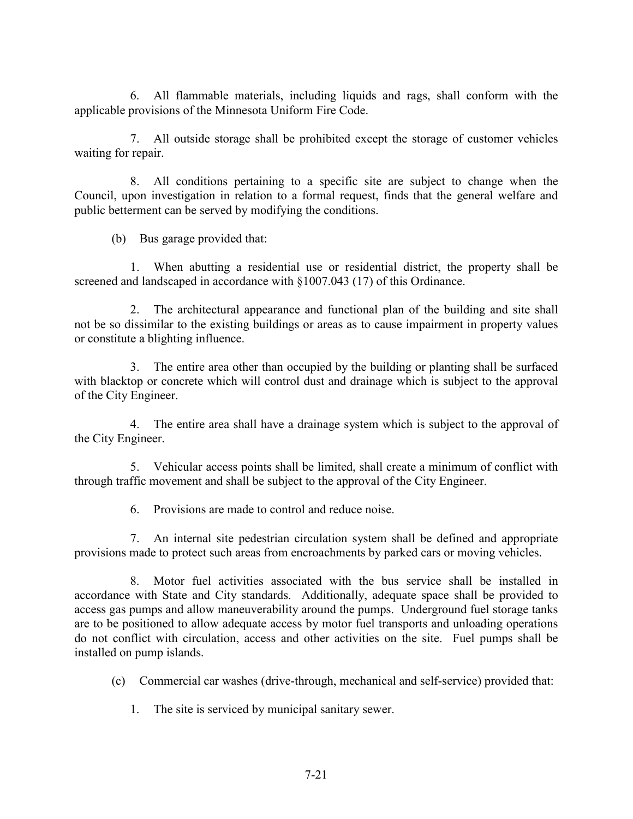6. All flammable materials, including liquids and rags, shall conform with the applicable provisions of the Minnesota Uniform Fire Code.

7. All outside storage shall be prohibited except the storage of customer vehicles waiting for repair.

8. All conditions pertaining to a specific site are subject to change when the Council, upon investigation in relation to a formal request, finds that the general welfare and public betterment can be served by modifying the conditions.

(b) Bus garage provided that:

1. When abutting a residential use or residential district, the property shall be screened and landscaped in accordance with §1007.043 (17) of this Ordinance.

2. The architectural appearance and functional plan of the building and site shall not be so dissimilar to the existing buildings or areas as to cause impairment in property values or constitute a blighting influence.

3. The entire area other than occupied by the building or planting shall be surfaced with blacktop or concrete which will control dust and drainage which is subject to the approval of the City Engineer.

4. The entire area shall have a drainage system which is subject to the approval of the City Engineer.

5. Vehicular access points shall be limited, shall create a minimum of conflict with through traffic movement and shall be subject to the approval of the City Engineer.

6. Provisions are made to control and reduce noise.

7. An internal site pedestrian circulation system shall be defined and appropriate provisions made to protect such areas from encroachments by parked cars or moving vehicles.

8. Motor fuel activities associated with the bus service shall be installed in accordance with State and City standards. Additionally, adequate space shall be provided to access gas pumps and allow maneuverability around the pumps. Underground fuel storage tanks are to be positioned to allow adequate access by motor fuel transports and unloading operations do not conflict with circulation, access and other activities on the site. Fuel pumps shall be installed on pump islands.

(c) Commercial car washes (drive-through, mechanical and self-service) provided that:

1. The site is serviced by municipal sanitary sewer.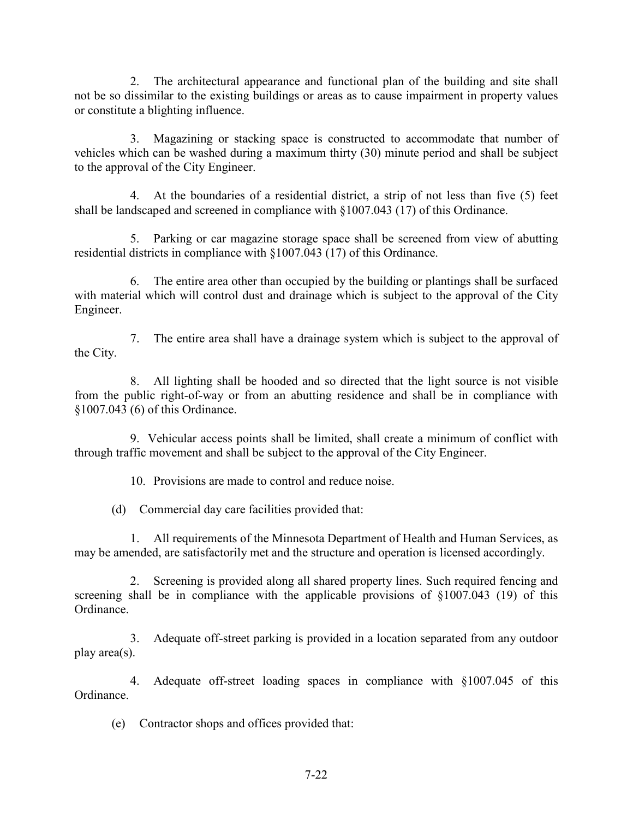2. The architectural appearance and functional plan of the building and site shall not be so dissimilar to the existing buildings or areas as to cause impairment in property values or constitute a blighting influence.

3. Magazining or stacking space is constructed to accommodate that number of vehicles which can be washed during a maximum thirty (30) minute period and shall be subject to the approval of the City Engineer.

4. At the boundaries of a residential district, a strip of not less than five (5) feet shall be landscaped and screened in compliance with §1007.043 (17) of this Ordinance.

5. Parking or car magazine storage space shall be screened from view of abutting residential districts in compliance with §1007.043 (17) of this Ordinance.

6. The entire area other than occupied by the building or plantings shall be surfaced with material which will control dust and drainage which is subject to the approval of the City Engineer.

7. The entire area shall have a drainage system which is subject to the approval of the City.

8. All lighting shall be hooded and so directed that the light source is not visible from the public right-of-way or from an abutting residence and shall be in compliance with §1007.043 (6) of this Ordinance.

9. Vehicular access points shall be limited, shall create a minimum of conflict with through traffic movement and shall be subject to the approval of the City Engineer.

10. Provisions are made to control and reduce noise.

(d) Commercial day care facilities provided that:

1. All requirements of the Minnesota Department of Health and Human Services, as may be amended, are satisfactorily met and the structure and operation is licensed accordingly.

2. Screening is provided along all shared property lines. Such required fencing and screening shall be in compliance with the applicable provisions of §1007.043 (19) of this Ordinance.

3. Adequate off-street parking is provided in a location separated from any outdoor play area(s).

4. Adequate off-street loading spaces in compliance with §1007.045 of this Ordinance.

(e) Contractor shops and offices provided that: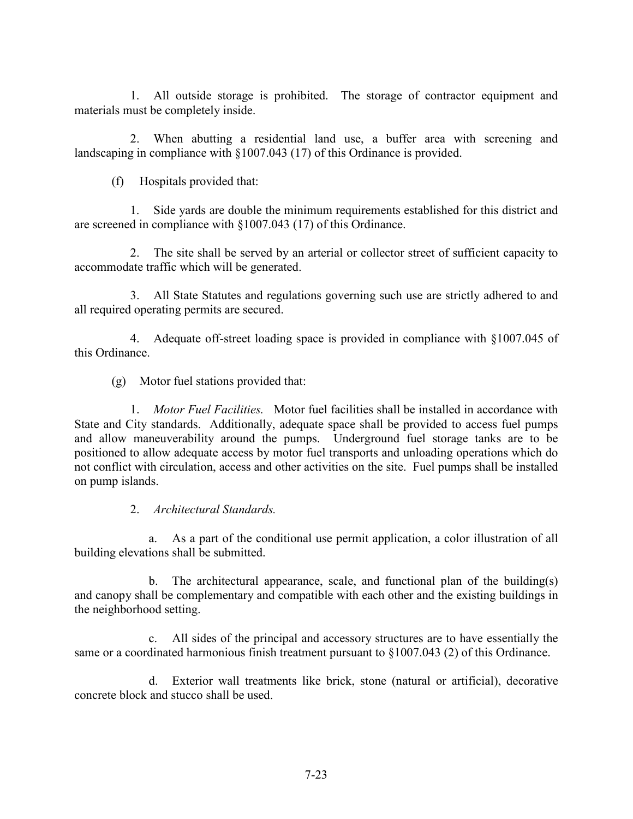1. All outside storage is prohibited. The storage of contractor equipment and materials must be completely inside.

2. When abutting a residential land use, a buffer area with screening and landscaping in compliance with §1007.043 (17) of this Ordinance is provided.

(f) Hospitals provided that:

1. Side yards are double the minimum requirements established for this district and are screened in compliance with §1007.043 (17) of this Ordinance.

2. The site shall be served by an arterial or collector street of sufficient capacity to accommodate traffic which will be generated.

3. All State Statutes and regulations governing such use are strictly adhered to and all required operating permits are secured.

4. Adequate off-street loading space is provided in compliance with §1007.045 of this Ordinance.

(g) Motor fuel stations provided that:

1. *Motor Fuel Facilities.* Motor fuel facilities shall be installed in accordance with State and City standards. Additionally, adequate space shall be provided to access fuel pumps and allow maneuverability around the pumps. Underground fuel storage tanks are to be positioned to allow adequate access by motor fuel transports and unloading operations which do not conflict with circulation, access and other activities on the site. Fuel pumps shall be installed on pump islands.

### 2. *Architectural Standards.*

a. As a part of the conditional use permit application, a color illustration of all building elevations shall be submitted.

b. The architectural appearance, scale, and functional plan of the building(s) and canopy shall be complementary and compatible with each other and the existing buildings in the neighborhood setting.

c. All sides of the principal and accessory structures are to have essentially the same or a coordinated harmonious finish treatment pursuant to §1007.043 (2) of this Ordinance.

d. Exterior wall treatments like brick, stone (natural or artificial), decorative concrete block and stucco shall be used.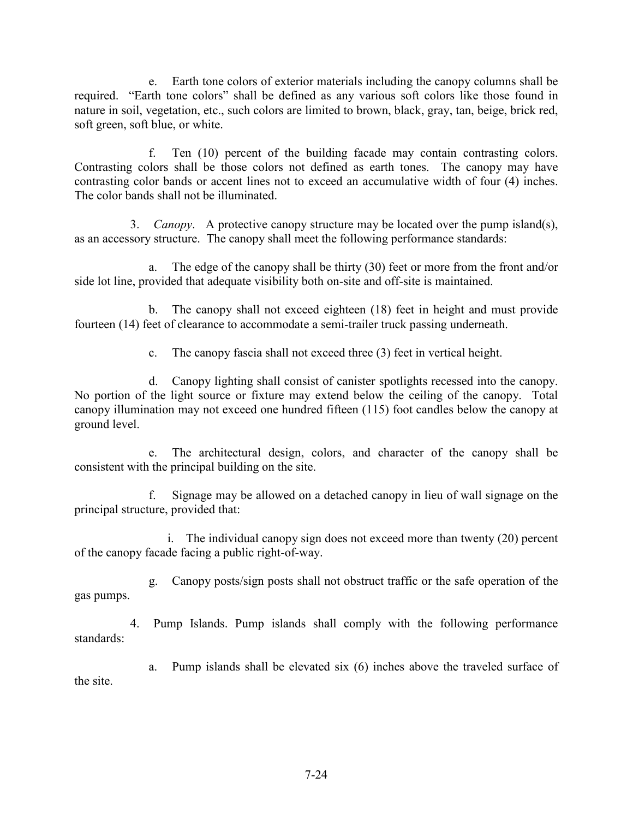e. Earth tone colors of exterior materials including the canopy columns shall be required. "Earth tone colors" shall be defined as any various soft colors like those found in nature in soil, vegetation, etc., such colors are limited to brown, black, gray, tan, beige, brick red, soft green, soft blue, or white.

f. Ten (10) percent of the building facade may contain contrasting colors. Contrasting colors shall be those colors not defined as earth tones. The canopy may have contrasting color bands or accent lines not to exceed an accumulative width of four (4) inches. The color bands shall not be illuminated.

3. *Canopy*. A protective canopy structure may be located over the pump island(s), as an accessory structure. The canopy shall meet the following performance standards:

a. The edge of the canopy shall be thirty (30) feet or more from the front and/or side lot line, provided that adequate visibility both on-site and off-site is maintained.

b. The canopy shall not exceed eighteen (18) feet in height and must provide fourteen (14) feet of clearance to accommodate a semi-trailer truck passing underneath.

c. The canopy fascia shall not exceed three (3) feet in vertical height.

d. Canopy lighting shall consist of canister spotlights recessed into the canopy. No portion of the light source or fixture may extend below the ceiling of the canopy. Total canopy illumination may not exceed one hundred fifteen (115) foot candles below the canopy at ground level.

e. The architectural design, colors, and character of the canopy shall be consistent with the principal building on the site.

f. Signage may be allowed on a detached canopy in lieu of wall signage on the principal structure, provided that:

i. The individual canopy sign does not exceed more than twenty (20) percent of the canopy facade facing a public right-of-way.

g. Canopy posts/sign posts shall not obstruct traffic or the safe operation of the gas pumps.

4. Pump Islands. Pump islands shall comply with the following performance standards:

a. Pump islands shall be elevated six (6) inches above the traveled surface of the site.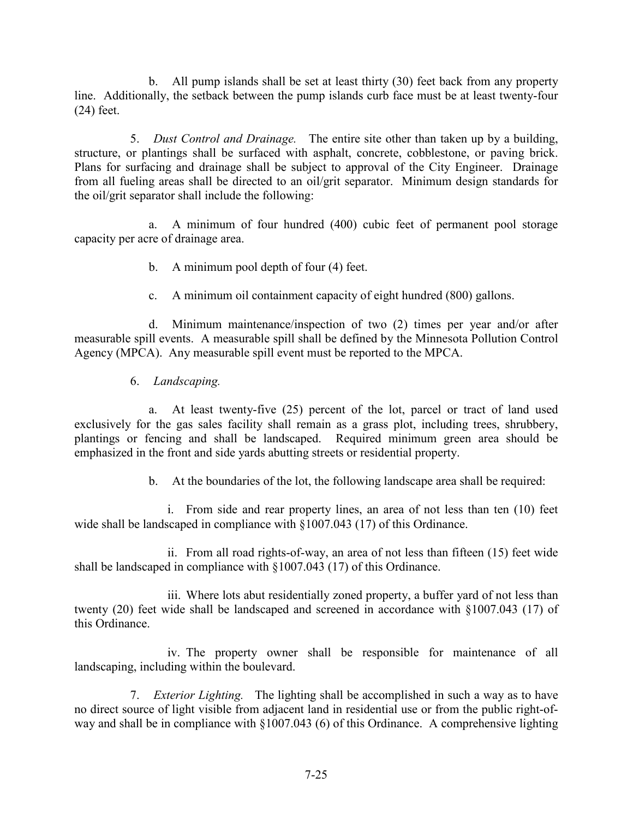b. All pump islands shall be set at least thirty (30) feet back from any property line. Additionally, the setback between the pump islands curb face must be at least twenty-four (24) feet.

5. *Dust Control and Drainage.* The entire site other than taken up by a building, structure, or plantings shall be surfaced with asphalt, concrete, cobblestone, or paving brick. Plans for surfacing and drainage shall be subject to approval of the City Engineer. Drainage from all fueling areas shall be directed to an oil/grit separator. Minimum design standards for the oil/grit separator shall include the following:

a. A minimum of four hundred (400) cubic feet of permanent pool storage capacity per acre of drainage area.

- b. A minimum pool depth of four (4) feet.
- c. A minimum oil containment capacity of eight hundred (800) gallons.

d. Minimum maintenance/inspection of two (2) times per year and/or after measurable spill events. A measurable spill shall be defined by the Minnesota Pollution Control Agency (MPCA). Any measurable spill event must be reported to the MPCA.

6. *Landscaping.*

a. At least twenty-five (25) percent of the lot, parcel or tract of land used exclusively for the gas sales facility shall remain as a grass plot, including trees, shrubbery, plantings or fencing and shall be landscaped. Required minimum green area should be emphasized in the front and side yards abutting streets or residential property.

b. At the boundaries of the lot, the following landscape area shall be required:

i. From side and rear property lines, an area of not less than ten (10) feet wide shall be landscaped in compliance with  $\S 1007.043$  (17) of this Ordinance.

ii. From all road rights-of-way, an area of not less than fifteen (15) feet wide shall be landscaped in compliance with §1007.043 (17) of this Ordinance.

iii. Where lots abut residentially zoned property, a buffer yard of not less than twenty (20) feet wide shall be landscaped and screened in accordance with §1007.043 (17) of this Ordinance.

iv. The property owner shall be responsible for maintenance of all landscaping, including within the boulevard.

7. *Exterior Lighting.* The lighting shall be accomplished in such a way as to have no direct source of light visible from adjacent land in residential use or from the public right-ofway and shall be in compliance with §1007.043 (6) of this Ordinance. A comprehensive lighting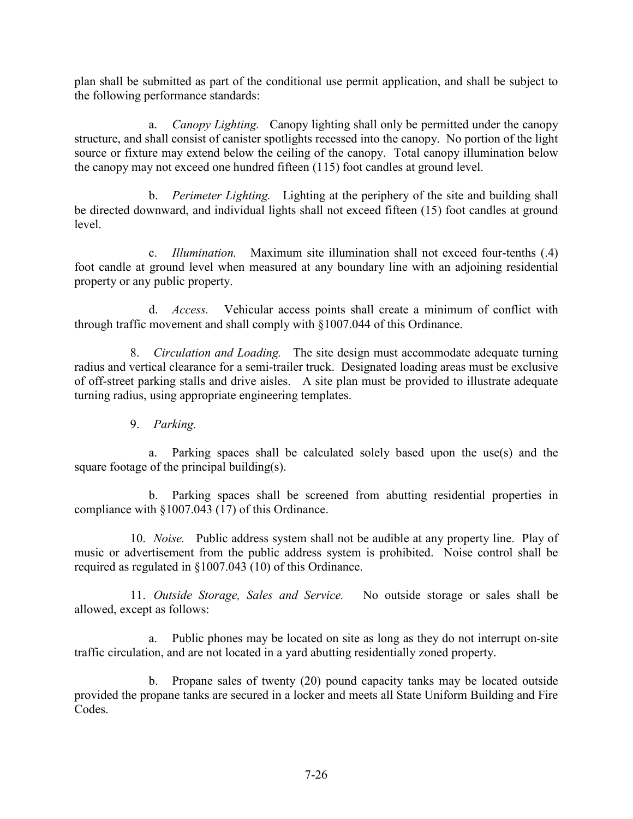plan shall be submitted as part of the conditional use permit application, and shall be subject to the following performance standards:

a. *Canopy Lighting.* Canopy lighting shall only be permitted under the canopy structure, and shall consist of canister spotlights recessed into the canopy. No portion of the light source or fixture may extend below the ceiling of the canopy. Total canopy illumination below the canopy may not exceed one hundred fifteen (115) foot candles at ground level.

b. *Perimeter Lighting.* Lighting at the periphery of the site and building shall be directed downward, and individual lights shall not exceed fifteen (15) foot candles at ground level.

c. *Illumination.* Maximum site illumination shall not exceed four-tenths (.4) foot candle at ground level when measured at any boundary line with an adjoining residential property or any public property.

d. *Access.* Vehicular access points shall create a minimum of conflict with through traffic movement and shall comply with §1007.044 of this Ordinance.

8. *Circulation and Loading.* The site design must accommodate adequate turning radius and vertical clearance for a semi-trailer truck. Designated loading areas must be exclusive of off-street parking stalls and drive aisles. A site plan must be provided to illustrate adequate turning radius, using appropriate engineering templates.

9. *Parking.*

a. Parking spaces shall be calculated solely based upon the use(s) and the square footage of the principal building(s).

b. Parking spaces shall be screened from abutting residential properties in compliance with §1007.043 (17) of this Ordinance.

10. *Noise.* Public address system shall not be audible at any property line. Play of music or advertisement from the public address system is prohibited. Noise control shall be required as regulated in §1007.043 (10) of this Ordinance.

11. *Outside Storage, Sales and Service.* No outside storage or sales shall be allowed, except as follows:

a. Public phones may be located on site as long as they do not interrupt on-site traffic circulation, and are not located in a yard abutting residentially zoned property.

b. Propane sales of twenty (20) pound capacity tanks may be located outside provided the propane tanks are secured in a locker and meets all State Uniform Building and Fire Codes.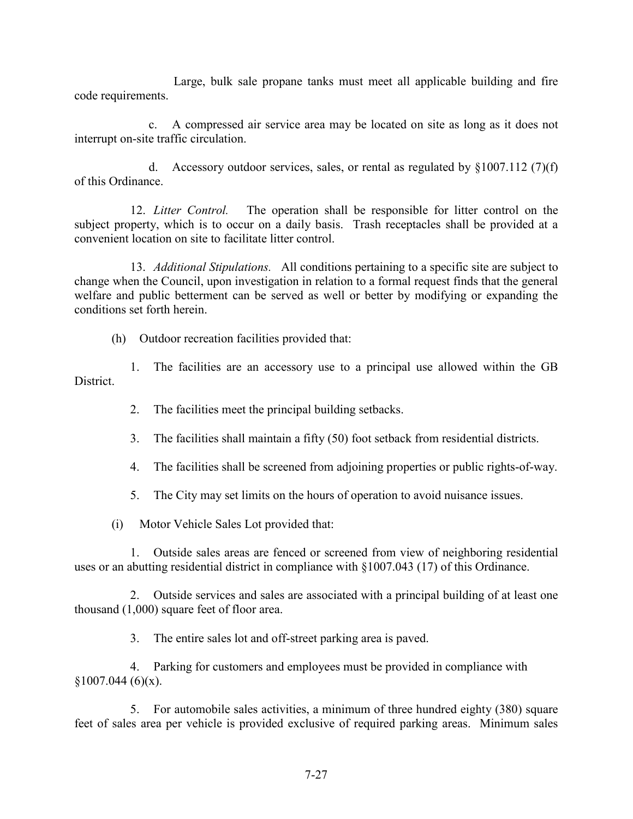Large, bulk sale propane tanks must meet all applicable building and fire code requirements.

c. A compressed air service area may be located on site as long as it does not interrupt on-site traffic circulation.

d. Accessory outdoor services, sales, or rental as regulated by  $§1007.112(7)(f)$ of this Ordinance.

12. *Litter Control.* The operation shall be responsible for litter control on the subject property, which is to occur on a daily basis. Trash receptacles shall be provided at a convenient location on site to facilitate litter control.

13. *Additional Stipulations.* All conditions pertaining to a specific site are subject to change when the Council, upon investigation in relation to a formal request finds that the general welfare and public betterment can be served as well or better by modifying or expanding the conditions set forth herein.

(h) Outdoor recreation facilities provided that:

1. The facilities are an accessory use to a principal use allowed within the GB District.

2. The facilities meet the principal building setbacks.

3. The facilities shall maintain a fifty (50) foot setback from residential districts.

4. The facilities shall be screened from adjoining properties or public rights-of-way.

5. The City may set limits on the hours of operation to avoid nuisance issues.

(i) Motor Vehicle Sales Lot provided that:

1. Outside sales areas are fenced or screened from view of neighboring residential uses or an abutting residential district in compliance with §1007.043 (17) of this Ordinance.

2. Outside services and sales are associated with a principal building of at least one thousand (1,000) square feet of floor area.

3. The entire sales lot and off-street parking area is paved.

4. Parking for customers and employees must be provided in compliance with  $§1007.044(6)(x).$ 

5. For automobile sales activities, a minimum of three hundred eighty (380) square feet of sales area per vehicle is provided exclusive of required parking areas. Minimum sales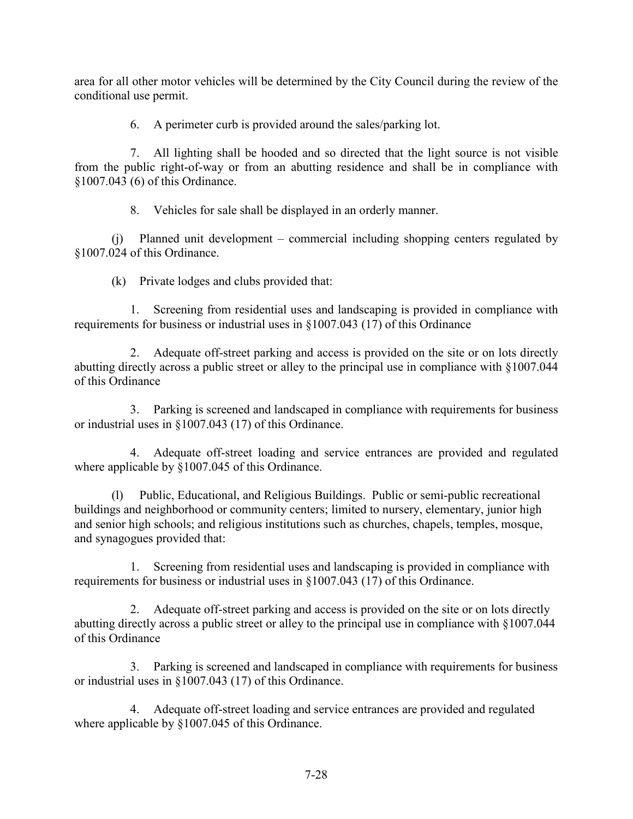area for all other motor vehicles will be determined by the City Council during the review of the conditional use permit.

6. A perimeter curb is provided around the sales/parking lot.

7. All lighting shall be hooded and so directed that the light source is not visible from the public right-of-way or from an abutting residence and shall be in compliance with §1007.043 (6) of this Ordinance.

8. Vehicles for sale shall be displayed in an orderly manner.

(j) Planned unit development – commercial including shopping centers regulated by §1007.024 of this Ordinance.

(k) Private lodges and clubs provided that:

1. Screening from residential uses and landscaping is provided in compliance with requirements for business or industrial uses in §1007.043 (17) of this Ordinance

2. Adequate off-street parking and access is provided on the site or on lots directly abutting directly across a public street or alley to the principal use in compliance with §1007.044 of this Ordinance

3. Parking is screened and landscaped in compliance with requirements for business or industrial uses in §1007.043 (17) of this Ordinance.

4. Adequate off-street loading and service entrances are provided and regulated where applicable by  $\S 1007.045$  of this Ordinance.

(l) Public, Educational, and Religious Buildings. Public or semi-public recreational buildings and neighborhood or community centers; limited to nursery, elementary, junior high and senior high schools; and religious institutions such as churches, chapels, temples, mosque, and synagogues provided that:

1. Screening from residential uses and landscaping is provided in compliance with requirements for business or industrial uses in §1007.043 (17) of this Ordinance.

2. Adequate off-street parking and access is provided on the site or on lots directly abutting directly across a public street or alley to the principal use in compliance with §1007.044 of this Ordinance

3. Parking is screened and landscaped in compliance with requirements for business or industrial uses in §1007.043 (17) of this Ordinance.

4. Adequate off-street loading and service entrances are provided and regulated where applicable by §1007.045 of this Ordinance.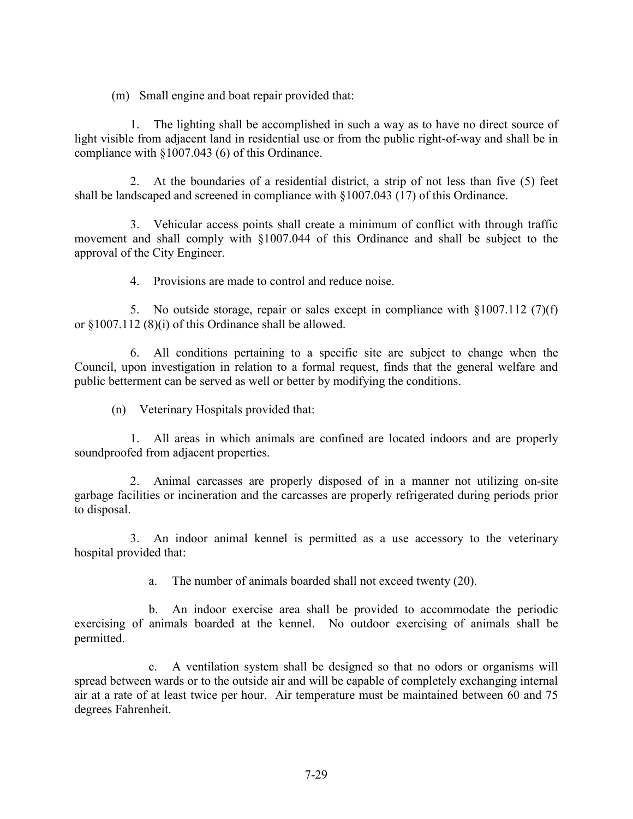(m) Small engine and boat repair provided that:

1. The lighting shall be accomplished in such a way as to have no direct source of light visible from adjacent land in residential use or from the public right-of-way and shall be in compliance with §1007.043 (6) of this Ordinance.

2. At the boundaries of a residential district, a strip of not less than five (5) feet shall be landscaped and screened in compliance with §1007.043 (17) of this Ordinance.

3. Vehicular access points shall create a minimum of conflict with through traffic movement and shall comply with §1007.044 of this Ordinance and shall be subject to the approval of the City Engineer.

4. Provisions are made to control and reduce noise.

5. No outside storage, repair or sales except in compliance with §1007.112 (7)(f) or §1007.112 (8)(i) of this Ordinance shall be allowed.

6. All conditions pertaining to a specific site are subject to change when the Council, upon investigation in relation to a formal request, finds that the general welfare and public betterment can be served as well or better by modifying the conditions.

(n) Veterinary Hospitals provided that:

1. All areas in which animals are confined are located indoors and are properly soundproofed from adjacent properties.

2. Animal carcasses are properly disposed of in a manner not utilizing on-site garbage facilities or incineration and the carcasses are properly refrigerated during periods prior to disposal.

3. An indoor animal kennel is permitted as a use accessory to the veterinary hospital provided that:

a. The number of animals boarded shall not exceed twenty (20).

b. An indoor exercise area shall be provided to accommodate the periodic exercising of animals boarded at the kennel. No outdoor exercising of animals shall be permitted.

c. A ventilation system shall be designed so that no odors or organisms will spread between wards or to the outside air and will be capable of completely exchanging internal air at a rate of at least twice per hour. Air temperature must be maintained between 60 and 75 degrees Fahrenheit.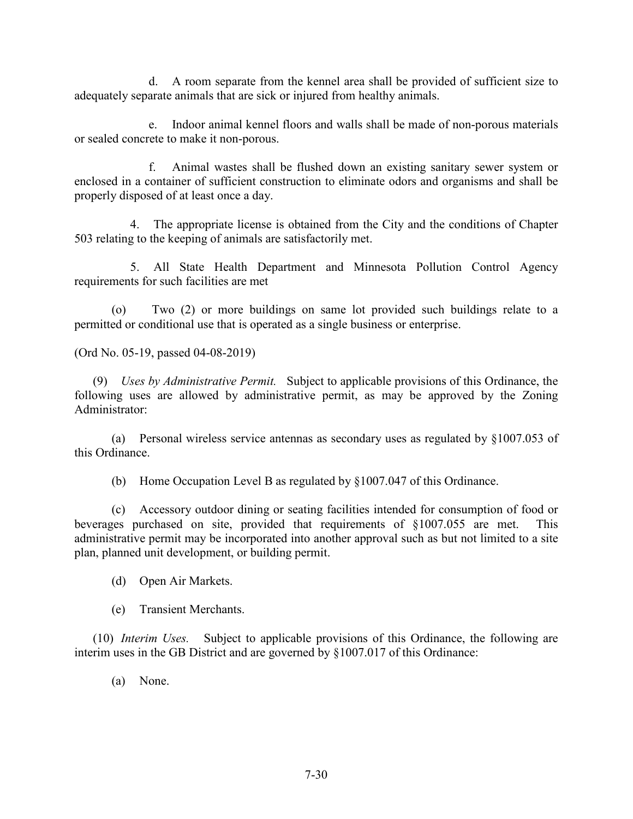d. A room separate from the kennel area shall be provided of sufficient size to adequately separate animals that are sick or injured from healthy animals.

e. Indoor animal kennel floors and walls shall be made of non-porous materials or sealed concrete to make it non-porous.

f. Animal wastes shall be flushed down an existing sanitary sewer system or enclosed in a container of sufficient construction to eliminate odors and organisms and shall be properly disposed of at least once a day.

4. The appropriate license is obtained from the City and the conditions of Chapter 503 relating to the keeping of animals are satisfactorily met.

5. All State Health Department and Minnesota Pollution Control Agency requirements for such facilities are met

(o) Two (2) or more buildings on same lot provided such buildings relate to a permitted or conditional use that is operated as a single business or enterprise.

(Ord No. 05-19, passed 04-08-2019)

(9) *Uses by Administrative Permit.* Subject to applicable provisions of this Ordinance, the following uses are allowed by administrative permit, as may be approved by the Zoning Administrator:

(a) Personal wireless service antennas as secondary uses as regulated by §1007.053 of this Ordinance.

(b) Home Occupation Level B as regulated by §1007.047 of this Ordinance.

(c) Accessory outdoor dining or seating facilities intended for consumption of food or beverages purchased on site, provided that requirements of §1007.055 are met. This administrative permit may be incorporated into another approval such as but not limited to a site plan, planned unit development, or building permit.

- (d) Open Air Markets.
- (e) Transient Merchants.

(10) *Interim Uses.* Subject to applicable provisions of this Ordinance, the following are interim uses in the GB District and are governed by §1007.017 of this Ordinance:

(a) None.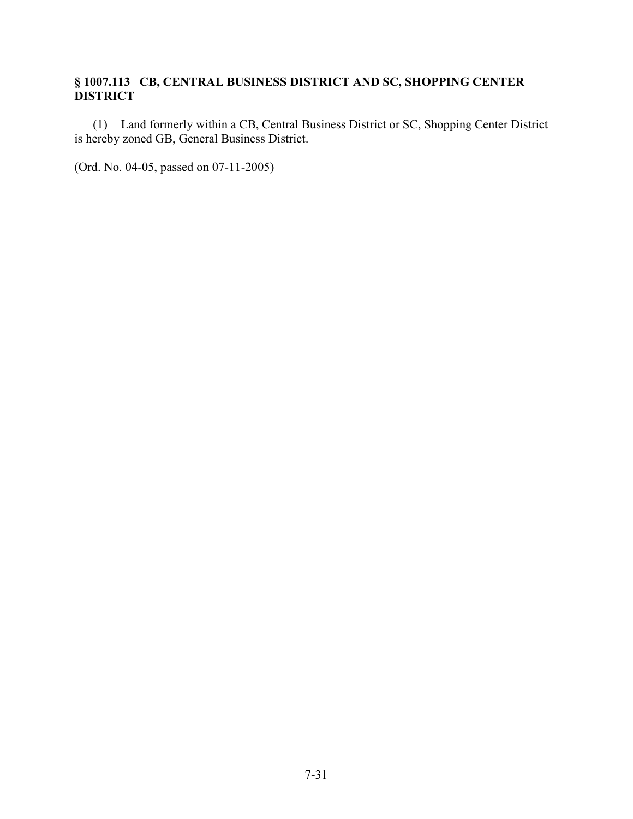## **§ 1007.113 CB, CENTRAL BUSINESS DISTRICT AND SC, SHOPPING CENTER DISTRICT**

(1) Land formerly within a CB, Central Business District or SC, Shopping Center District is hereby zoned GB, General Business District.

(Ord. No. 04-05, passed on 07-11-2005)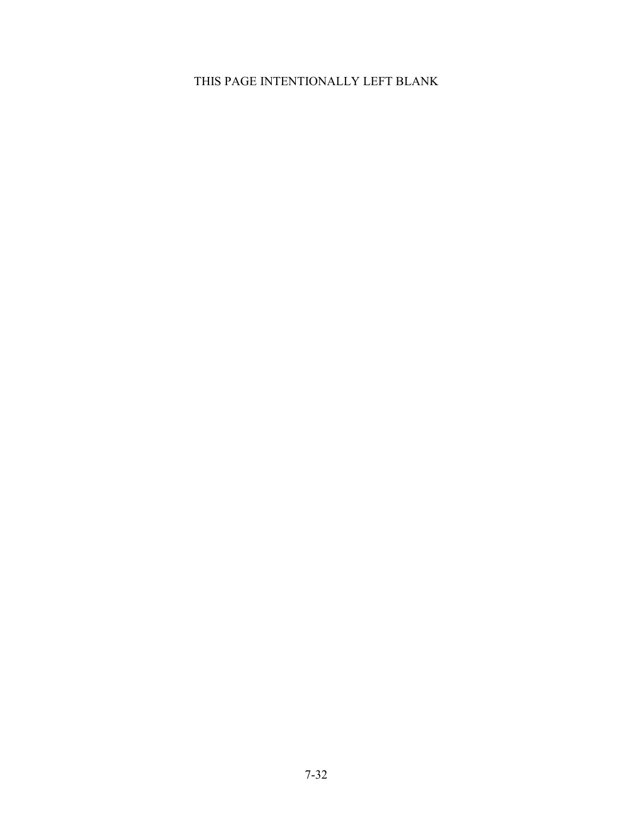# THIS PAGE INTENTIONALLY LEFT BLANK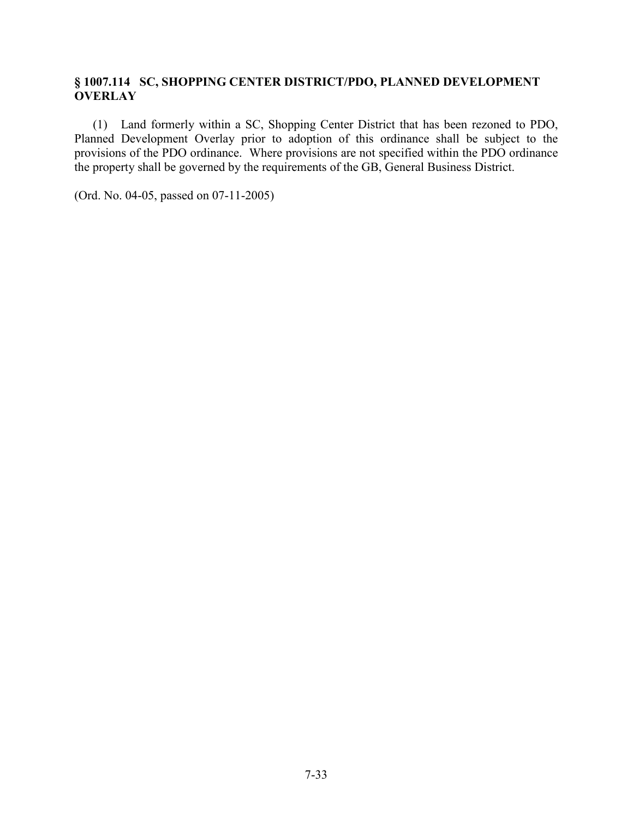## **§ 1007.114 SC, SHOPPING CENTER DISTRICT/PDO, PLANNED DEVELOPMENT OVERLAY**

(1) Land formerly within a SC, Shopping Center District that has been rezoned to PDO, Planned Development Overlay prior to adoption of this ordinance shall be subject to the provisions of the PDO ordinance. Where provisions are not specified within the PDO ordinance the property shall be governed by the requirements of the GB, General Business District.

(Ord. No. 04-05, passed on 07-11-2005)